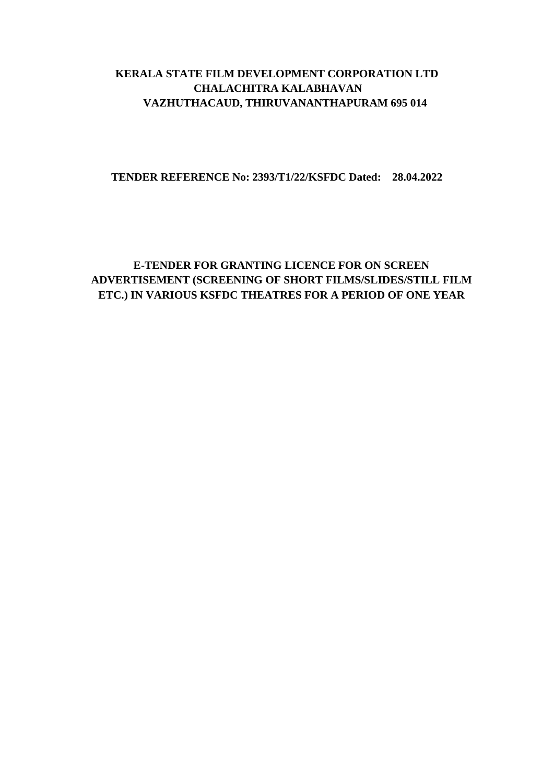# **KERALA STATE FILM DEVELOPMENT CORPORATION LTD CHALACHITRA KALABHAVAN VAZHUTHACAUD, THIRUVANANTHAPURAM 695 014**

#### **TENDER REFERENCE No: 2393/T1/22/KSFDC Dated: 28.04.2022**

# **E-TENDER FOR GRANTING LICENCE FOR ON SCREEN ADVERTISEMENT (SCREENING OF SHORT FILMS/SLIDES/STILL FILM ETC.) IN VARIOUS KSFDC THEATRES FOR A PERIOD OF ONE YEAR**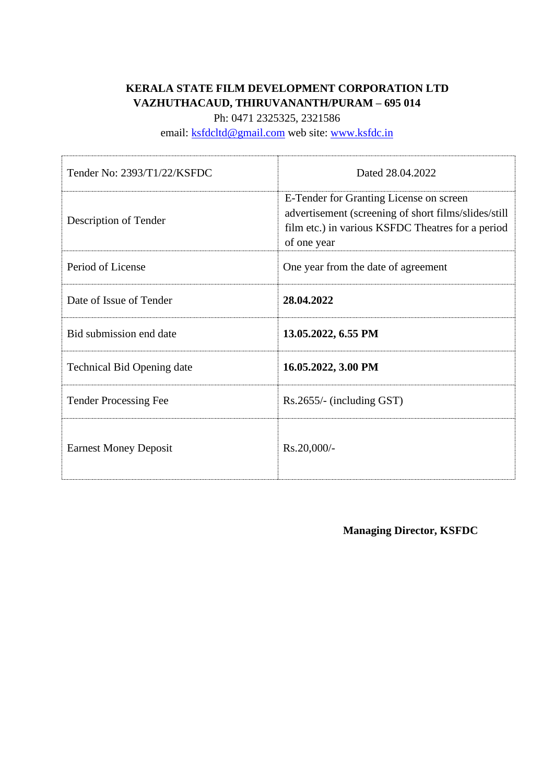# **KERALA STATE FILM DEVELOPMENT CORPORATION LTD VAZHUTHACAUD, THIRUVANANTH/PURAM – 695 014**

Ph: 0471 2325325, 2321586

email: [ksfdcltd@gmail.com](mailto:ksfdcltd@gmail.com) web site: [www.ksfdc.in](http://www.ksfdc.in/)

| Tender No: 2393/T1/22/KSFDC       | Dated 28.04.2022                                                                                                                                                    |
|-----------------------------------|---------------------------------------------------------------------------------------------------------------------------------------------------------------------|
| Description of Tender             | E-Tender for Granting License on screen<br>advertisement (screening of short films/slides/still<br>film etc.) in various KSFDC Theatres for a period<br>of one year |
| Period of License                 | One year from the date of agreement                                                                                                                                 |
| Date of Issue of Tender           | 28.04.2022                                                                                                                                                          |
| Bid submission end date           | 13.05.2022, 6.55 PM                                                                                                                                                 |
| <b>Technical Bid Opening date</b> | 16.05.2022, 3.00 PM                                                                                                                                                 |
| <b>Tender Processing Fee</b>      | $Rs.2655/-$ (including GST)                                                                                                                                         |
| <b>Earnest Money Deposit</b>      | Rs.20,000/-                                                                                                                                                         |

**Managing Director, KSFDC**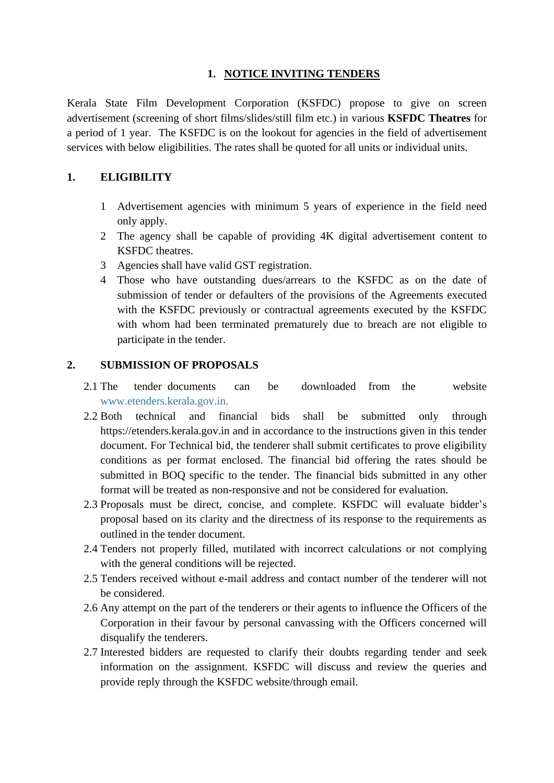## **1. NOTICE INVITING TENDERS**

Kerala State Film Development Corporation (KSFDC) propose to give on screen advertisement (screening of short films/slides/still film etc.) in various **KSFDC Theatres** for a period of 1 year. The KSFDC is on the lookout for agencies in the field of advertisement services with below eligibilities. The rates shall be quoted for all units or individual units.

### **1. ELIGIBILITY**

- 1 Advertisement agencies with minimum 5 years of experience in the field need only apply.
- 2 The agency shall be capable of providing 4K digital advertisement content to KSFDC theatres.
- 3 Agencies shall have valid GST registration.
- 4 Those who have outstanding dues/arrears to the KSFDC as on the date of submission of tender or defaulters of the provisions of the Agreements executed with the KSFDC previously or contractual agreements executed by the KSFDC with whom had been terminated prematurely due to breach are not eligible to participate in the tender.

## **2. SUBMISSION OF PROPOSALS**

- 2.1 The tender documents can be downloaded from the website www.etenders.kerala.gov.in.
- 2.2 Both technical and financial bids shall be submitted only through https://etenders.kerala.gov.in and in accordance to the instructions given in this tender document. For Technical bid, the tenderer shall submit certificates to prove eligibility conditions as per format enclosed. The financial bid offering the rates should be submitted in BOQ specific to the tender. The financial bids submitted in any other format will be treated as non-responsive and not be considered for evaluation.
- 2.3 Proposals must be direct, concise, and complete. KSFDC will evaluate bidder's proposal based on its clarity and the directness of its response to the requirements as outlined in the tender document.
- 2.4 Tenders not properly filled, mutilated with incorrect calculations or not complying with the general conditions will be rejected.
- 2.5 Tenders received without e-mail address and contact number of the tenderer will not be considered.
- 2.6 Any attempt on the part of the tenderers or their agents to influence the Officers of the Corporation in their favour by personal canvassing with the Officers concerned will disqualify the tenderers.
- 2.7 Interested bidders are requested to clarify their doubts regarding tender and seek information on the assignment. KSFDC will discuss and review the queries and provide reply through the KSFDC website/through email.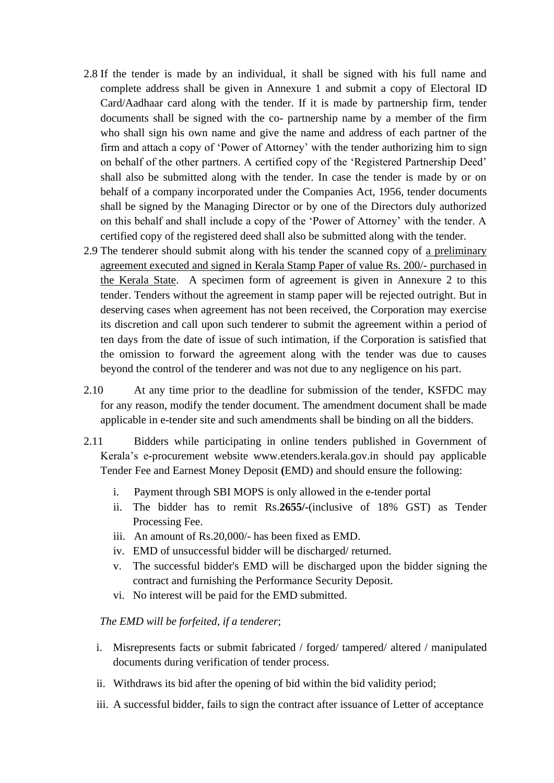- 2.8 If the tender is made by an individual, it shall be signed with his full name and complete address shall be given in Annexure 1 and submit a copy of Electoral ID Card/Aadhaar card along with the tender. If it is made by partnership firm, tender documents shall be signed with the co- partnership name by a member of the firm who shall sign his own name and give the name and address of each partner of the firm and attach a copy of 'Power of Attorney' with the tender authorizing him to sign on behalf of the other partners. A certified copy of the 'Registered Partnership Deed' shall also be submitted along with the tender. In case the tender is made by or on behalf of a company incorporated under the Companies Act, 1956, tender documents shall be signed by the Managing Director or by one of the Directors duly authorized on this behalf and shall include a copy of the 'Power of Attorney' with the tender. A certified copy of the registered deed shall also be submitted along with the tender.
- 2.9 The tenderer should submit along with his tender the scanned copy of a preliminary agreement executed and signed in Kerala Stamp Paper of value Rs. 200/- purchased in the Kerala State. A specimen form of agreement is given in Annexure 2 to this tender. Tenders without the agreement in stamp paper will be rejected outright. But in deserving cases when agreement has not been received, the Corporation may exercise its discretion and call upon such tenderer to submit the agreement within a period of ten days from the date of issue of such intimation, if the Corporation is satisfied that the omission to forward the agreement along with the tender was due to causes beyond the control of the tenderer and was not due to any negligence on his part.
- 2.10 At any time prior to the deadline for submission of the tender, KSFDC may for any reason, modify the tender document. The amendment document shall be made applicable in e-tender site and such amendments shall be binding on all the bidders.
- 2.11 Bidders while participating in online tenders published in Government of Kerala's e-procurement website www.etenders.kerala.gov.in should pay applicable Tender Fee and Earnest Money Deposit **(**EMD) and should ensure the following:
	- i. Payment through SBI MOPS is only allowed in the e-tender portal
	- ii. The bidder has to remit Rs.**2655/-**(inclusive of 18% GST) as Tender Processing Fee.
	- iii. An amount of Rs.20,000/- has been fixed as EMD.
	- iv. EMD of unsuccessful bidder will be discharged/ returned.
	- v. The successful bidder's EMD will be discharged upon the bidder signing the contract and furnishing the Performance Security Deposit.
	- vi. No interest will be paid for the EMD submitted.

#### *The EMD will be forfeited, if a tenderer*;

- i. Misrepresents facts or submit fabricated / forged/ tampered/ altered / manipulated documents during verification of tender process.
- ii. Withdraws its bid after the opening of bid within the bid validity period;
- iii. A successful bidder, fails to sign the contract after issuance of Letter of acceptance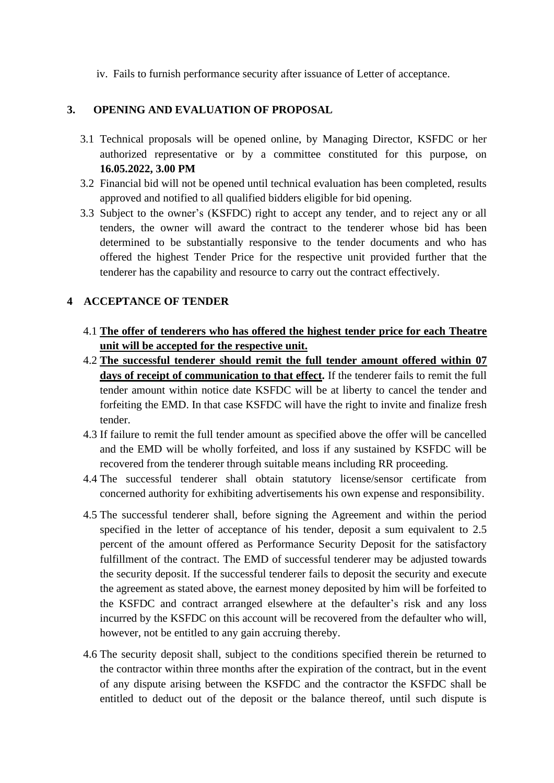iv. Fails to furnish performance security after issuance of Letter of acceptance.

## **3. OPENING AND EVALUATION OF PROPOSAL**

- 3.1 Technical proposals will be opened online, by Managing Director, KSFDC or her authorized representative or by a committee constituted for this purpose, on **16.05.2022, 3.00 PM**
- 3.2 Financial bid will not be opened until technical evaluation has been completed, results approved and notified to all qualified bidders eligible for bid opening.
- 3.3 Subject to the owner's (KSFDC) right to accept any tender, and to reject any or all tenders, the owner will award the contract to the tenderer whose bid has been determined to be substantially responsive to the tender documents and who has offered the highest Tender Price for the respective unit provided further that the tenderer has the capability and resource to carry out the contract effectively.

## **4 ACCEPTANCE OF TENDER**

- 4.1 **The offer of tenderers who has offered the highest tender price for each Theatre unit will be accepted for the respective unit.**
- 4.2 **The successful tenderer should remit the full tender amount offered within 07 days of receipt of communication to that effect.** If the tenderer fails to remit the full tender amount within notice date KSFDC will be at liberty to cancel the tender and forfeiting the EMD. In that case KSFDC will have the right to invite and finalize fresh tender.
- 4.3 If failure to remit the full tender amount as specified above the offer will be cancelled and the EMD will be wholly forfeited, and loss if any sustained by KSFDC will be recovered from the tenderer through suitable means including RR proceeding.
- 4.4 The successful tenderer shall obtain statutory license/sensor certificate from concerned authority for exhibiting advertisements his own expense and responsibility.
- 4.5 The successful tenderer shall, before signing the Agreement and within the period specified in the letter of acceptance of his tender, deposit a sum equivalent to 2.5 percent of the amount offered as Performance Security Deposit for the satisfactory fulfillment of the contract. The EMD of successful tenderer may be adjusted towards the security deposit. If the successful tenderer fails to deposit the security and execute the agreement as stated above, the earnest money deposited by him will be forfeited to the KSFDC and contract arranged elsewhere at the defaulter's risk and any loss incurred by the KSFDC on this account will be recovered from the defaulter who will, however, not be entitled to any gain accruing thereby.
- 4.6 The security deposit shall, subject to the conditions specified therein be returned to the contractor within three months after the expiration of the contract, but in the event of any dispute arising between the KSFDC and the contractor the KSFDC shall be entitled to deduct out of the deposit or the balance thereof, until such dispute is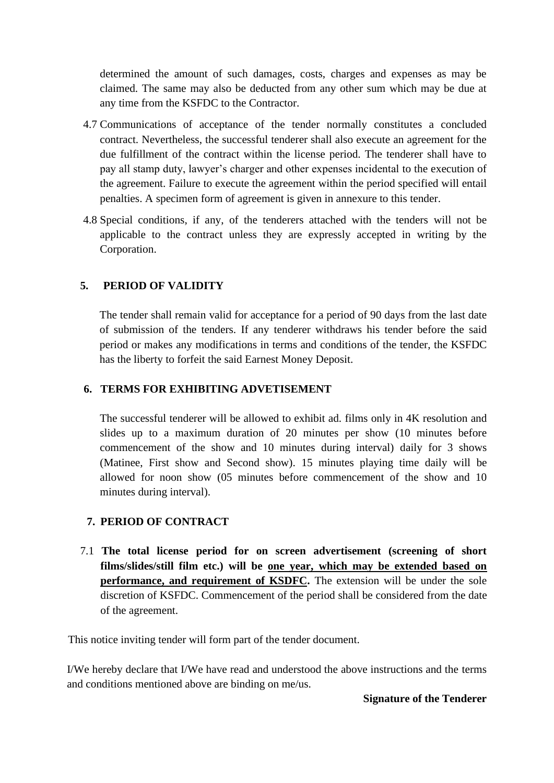determined the amount of such damages, costs, charges and expenses as may be claimed. The same may also be deducted from any other sum which may be due at any time from the KSFDC to the Contractor.

- 4.7 Communications of acceptance of the tender normally constitutes a concluded contract. Nevertheless, the successful tenderer shall also execute an agreement for the due fulfillment of the contract within the license period. The tenderer shall have to pay all stamp duty, lawyer's charger and other expenses incidental to the execution of the agreement. Failure to execute the agreement within the period specified will entail penalties. A specimen form of agreement is given in annexure to this tender.
- 4.8 Special conditions, if any, of the tenderers attached with the tenders will not be applicable to the contract unless they are expressly accepted in writing by the Corporation.

## **5. PERIOD OF VALIDITY**

The tender shall remain valid for acceptance for a period of 90 days from the last date of submission of the tenders. If any tenderer withdraws his tender before the said period or makes any modifications in terms and conditions of the tender, the KSFDC has the liberty to forfeit the said Earnest Money Deposit.

### **6. TERMS FOR EXHIBITING ADVETISEMENT**

The successful tenderer will be allowed to exhibit ad. films only in 4K resolution and slides up to a maximum duration of 20 minutes per show (10 minutes before commencement of the show and 10 minutes during interval) daily for 3 shows (Matinee, First show and Second show). 15 minutes playing time daily will be allowed for noon show (05 minutes before commencement of the show and 10 minutes during interval).

### **7. PERIOD OF CONTRACT**

7.1 **The total license period for on screen advertisement (screening of short films/slides/still film etc.) will be one year, which may be extended based on performance, and requirement of KSDFC.** The extension will be under the sole discretion of KSFDC. Commencement of the period shall be considered from the date of the agreement.

This notice inviting tender will form part of the tender document.

I/We hereby declare that I/We have read and understood the above instructions and the terms and conditions mentioned above are binding on me/us.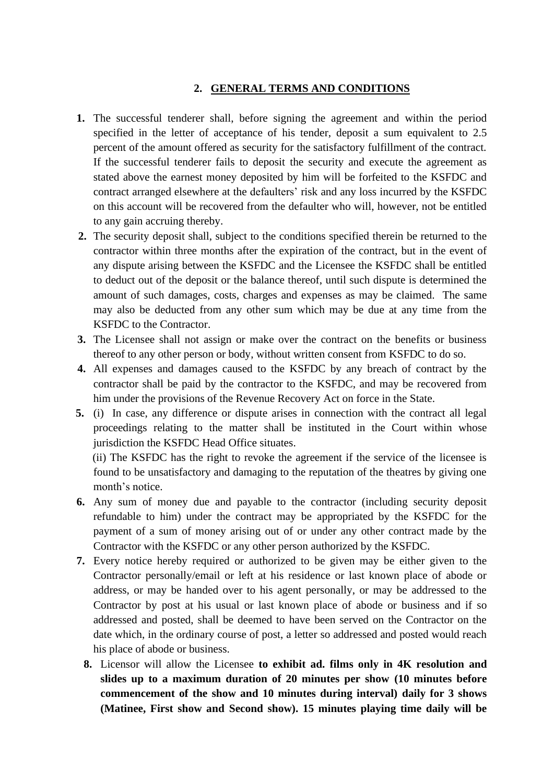#### **2. GENERAL TERMS AND CONDITIONS**

- **1.** The successful tenderer shall, before signing the agreement and within the period specified in the letter of acceptance of his tender, deposit a sum equivalent to 2.5 percent of the amount offered as security for the satisfactory fulfillment of the contract. If the successful tenderer fails to deposit the security and execute the agreement as stated above the earnest money deposited by him will be forfeited to the KSFDC and contract arranged elsewhere at the defaulters' risk and any loss incurred by the KSFDC on this account will be recovered from the defaulter who will, however, not be entitled to any gain accruing thereby.
- **2.** The security deposit shall, subject to the conditions specified therein be returned to the contractor within three months after the expiration of the contract, but in the event of any dispute arising between the KSFDC and the Licensee the KSFDC shall be entitled to deduct out of the deposit or the balance thereof, until such dispute is determined the amount of such damages, costs, charges and expenses as may be claimed. The same may also be deducted from any other sum which may be due at any time from the KSFDC to the Contractor.
- **3.** The Licensee shall not assign or make over the contract on the benefits or business thereof to any other person or body, without written consent from KSFDC to do so.
- **4.** All expenses and damages caused to the KSFDC by any breach of contract by the contractor shall be paid by the contractor to the KSFDC, and may be recovered from him under the provisions of the Revenue Recovery Act on force in the State.
- **5.** (i) In case, any difference or dispute arises in connection with the contract all legal proceedings relating to the matter shall be instituted in the Court within whose jurisdiction the KSFDC Head Office situates.

(ii) The KSFDC has the right to revoke the agreement if the service of the licensee is found to be unsatisfactory and damaging to the reputation of the theatres by giving one month's notice.

- **6.** Any sum of money due and payable to the contractor (including security deposit refundable to him) under the contract may be appropriated by the KSFDC for the payment of a sum of money arising out of or under any other contract made by the Contractor with the KSFDC or any other person authorized by the KSFDC.
- **7.** Every notice hereby required or authorized to be given may be either given to the Contractor personally/email or left at his residence or last known place of abode or address, or may be handed over to his agent personally, or may be addressed to the Contractor by post at his usual or last known place of abode or business and if so addressed and posted, shall be deemed to have been served on the Contractor on the date which, in the ordinary course of post, a letter so addressed and posted would reach his place of abode or business.
	- **8.** Licensor will allow the Licensee **to exhibit ad. films only in 4K resolution and slides up to a maximum duration of 20 minutes per show (10 minutes before commencement of the show and 10 minutes during interval) daily for 3 shows (Matinee, First show and Second show). 15 minutes playing time daily will be**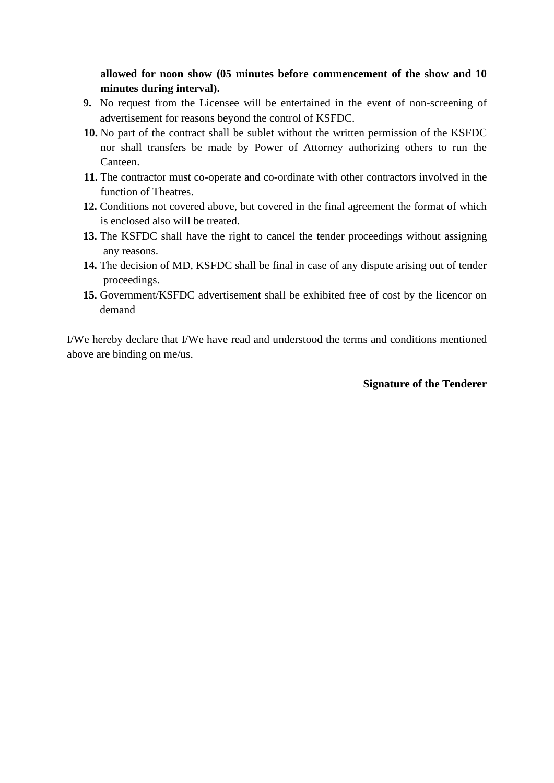**allowed for noon show (05 minutes before commencement of the show and 10 minutes during interval).**

- **9.** No request from the Licensee will be entertained in the event of non-screening of advertisement for reasons beyond the control of KSFDC.
- **10.** No part of the contract shall be sublet without the written permission of the KSFDC nor shall transfers be made by Power of Attorney authorizing others to run the Canteen.
- **11.** The contractor must co-operate and co-ordinate with other contractors involved in the function of Theatres.
- **12.** Conditions not covered above, but covered in the final agreement the format of which is enclosed also will be treated.
- **13.** The KSFDC shall have the right to cancel the tender proceedings without assigning any reasons.
- **14.** The decision of MD, KSFDC shall be final in case of any dispute arising out of tender proceedings.
- **15.** Government/KSFDC advertisement shall be exhibited free of cost by the licencor on demand

I/We hereby declare that I/We have read and understood the terms and conditions mentioned above are binding on me/us.

#### **Signature of the Tenderer**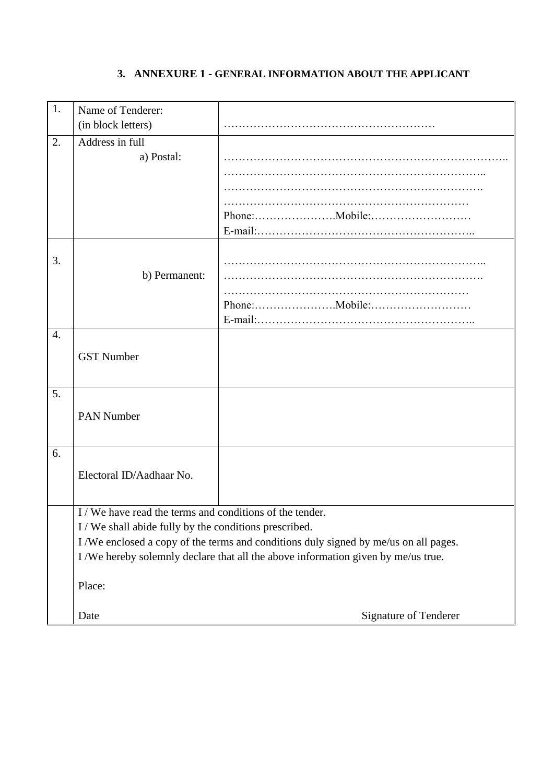# **3. ANNEXURE 1 - GENERAL INFORMATION ABOUT THE APPLICANT**

| 1. | Name of Tenderer:                                                                   |                       |
|----|-------------------------------------------------------------------------------------|-----------------------|
|    | (in block letters)                                                                  |                       |
| 2. | Address in full                                                                     |                       |
|    | a) Postal:                                                                          |                       |
|    |                                                                                     |                       |
|    |                                                                                     |                       |
|    |                                                                                     |                       |
|    |                                                                                     |                       |
|    |                                                                                     |                       |
| 3. |                                                                                     |                       |
|    | b) Permanent:                                                                       |                       |
|    |                                                                                     |                       |
|    |                                                                                     |                       |
|    |                                                                                     |                       |
| 4. |                                                                                     |                       |
|    | <b>GST Number</b>                                                                   |                       |
|    |                                                                                     |                       |
|    |                                                                                     |                       |
| 5. |                                                                                     |                       |
|    | <b>PAN Number</b>                                                                   |                       |
|    |                                                                                     |                       |
| 6. |                                                                                     |                       |
|    |                                                                                     |                       |
|    | Electoral ID/Aadhaar No.                                                            |                       |
|    |                                                                                     |                       |
|    | I/We have read the terms and conditions of the tender.                              |                       |
|    | I/We shall abide fully by the conditions prescribed.                                |                       |
|    | I/We enclosed a copy of the terms and conditions duly signed by me/us on all pages. |                       |
|    | I/We hereby solemnly declare that all the above information given by me/us true.    |                       |
|    |                                                                                     |                       |
|    | Place:                                                                              |                       |
|    | Date                                                                                | Signature of Tenderer |
|    |                                                                                     |                       |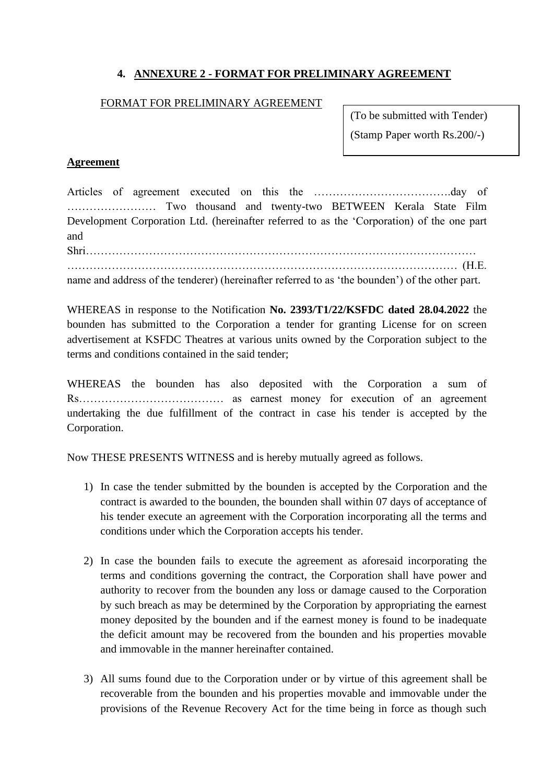# **4. ANNEXURE 2 - FORMAT FOR PRELIMINARY AGREEMENT**

#### FORMAT FOR PRELIMINARY AGREEMENT

(To be submitted with Tender) (Stamp Paper worth Rs.200/-)

### **Agreement**

Articles of agreement executed on this the ……………………………….day of …………………… Two thousand and twenty-two BETWEEN Kerala State Film Development Corporation Ltd. (hereinafter referred to as the 'Corporation) of the one part and

Shri…………………………………………………………………………………………… …………………………………………………………………………………………… (H.E.

name and address of the tenderer) (hereinafter referred to as 'the bounden') of the other part.

WHEREAS in response to the Notification **No. 2393/T1/22/KSFDC dated 28.04.2022** the bounden has submitted to the Corporation a tender for granting License for on screen advertisement at KSFDC Theatres at various units owned by the Corporation subject to the terms and conditions contained in the said tender;

WHEREAS the bounden has also deposited with the Corporation a sum of Rs………………………………… as earnest money for execution of an agreement undertaking the due fulfillment of the contract in case his tender is accepted by the Corporation.

Now THESE PRESENTS WITNESS and is hereby mutually agreed as follows.

- 1) In case the tender submitted by the bounden is accepted by the Corporation and the contract is awarded to the bounden, the bounden shall within 07 days of acceptance of his tender execute an agreement with the Corporation incorporating all the terms and conditions under which the Corporation accepts his tender.
- 2) In case the bounden fails to execute the agreement as aforesaid incorporating the terms and conditions governing the contract, the Corporation shall have power and authority to recover from the bounden any loss or damage caused to the Corporation by such breach as may be determined by the Corporation by appropriating the earnest money deposited by the bounden and if the earnest money is found to be inadequate the deficit amount may be recovered from the bounden and his properties movable and immovable in the manner hereinafter contained.
- 3) All sums found due to the Corporation under or by virtue of this agreement shall be recoverable from the bounden and his properties movable and immovable under the provisions of the Revenue Recovery Act for the time being in force as though such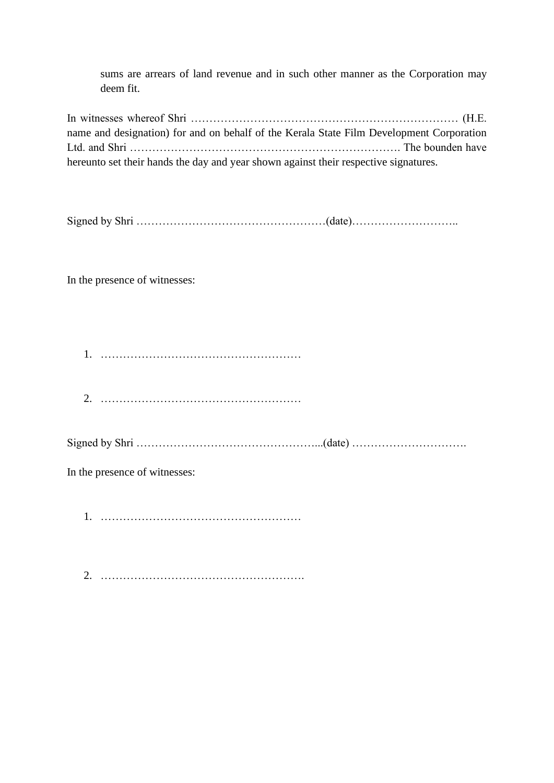sums are arrears of land revenue and in such other manner as the Corporation may deem fit.

In witnesses whereof Shri ……………………………………………………………… (H.E. name and designation) for and on behalf of the Kerala State Film Development Corporation Ltd. and Shri ………………………………………………………………. The bounden have hereunto set their hands the day and year shown against their respective signatures.

Signed by Shri  $\ldots$   $\ldots$   $\ldots$   $\ldots$   $\ldots$   $\ldots$   $\ldots$   $\ldots$   $\ldots$   $\ldots$   $\ldots$   $\ldots$   $\ldots$   $\ldots$   $\ldots$   $\ldots$ 

In the presence of witnesses:

1. ………………………………………………

2. ………………………………………………

Signed by Shri …………………………………………...(date) ………………………….

In the presence of witnesses:

1. ………………………………………………

2. ……………………………………………….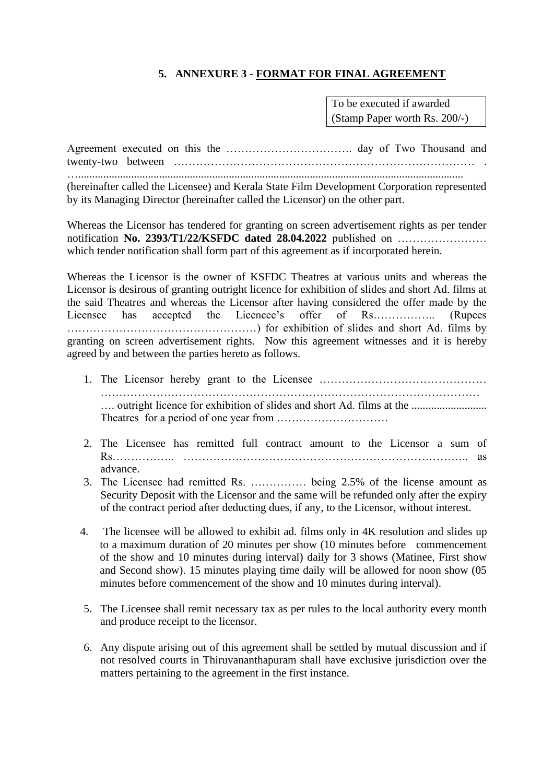## **5. ANNEXURE 3** - **FORMAT FOR FINAL AGREEMENT**

To be executed if awarded (Stamp Paper worth Rs. 200/-)

Agreement executed on this the ……………………………. day of Two Thousand and twenty-two between ……………………………………………………………………… . …..........................................................................................................................................

(hereinafter called the Licensee) and Kerala State Film Development Corporation represented by its Managing Director (hereinafter called the Licensor) on the other part.

Whereas the Licensor has tendered for granting on screen advertisement rights as per tender notification **No. 2393/T1/22/KSFDC dated 28.04.2022** published on …………………… which tender notification shall form part of this agreement as if incorporated herein.

Whereas the Licensor is the owner of KSFDC Theatres at various units and whereas the Licensor is desirous of granting outright licence for exhibition of slides and short Ad. films at the said Theatres and whereas the Licensor after having considered the offer made by the Licensee has accepted the Licencee's offer of Rs……………... (Rupees ……………………………………………) for exhibition of slides and short Ad. films by granting on screen advertisement rights. Now this agreement witnesses and it is hereby agreed by and between the parties hereto as follows.

- 1. The Licensor hereby grant to the Licensee ……………………………………… ………………………………………………………………………………………… …. outright licence for exhibition of slides and short Ad. films at the ........................... Theatres for a period of one year from …………………………
- 2. The Licensee has remitted full contract amount to the Licensor a sum of Rs…………….. ………………………………………………………………….. as advance.
- 3. The Licensee had remitted Rs. …………… being 2.5% of the license amount as Security Deposit with the Licensor and the same will be refunded only after the expiry of the contract period after deducting dues, if any, to the Licensor, without interest.
- 4. The licensee will be allowed to exhibit ad. films only in 4K resolution and slides up to a maximum duration of 20 minutes per show (10 minutes before commencement of the show and 10 minutes during interval) daily for 3 shows (Matinee, First show and Second show). 15 minutes playing time daily will be allowed for noon show (05 minutes before commencement of the show and 10 minutes during interval).
- 5. The Licensee shall remit necessary tax as per rules to the local authority every month and produce receipt to the licensor.
- 6. Any dispute arising out of this agreement shall be settled by mutual discussion and if not resolved courts in Thiruvananthapuram shall have exclusive jurisdiction over the matters pertaining to the agreement in the first instance.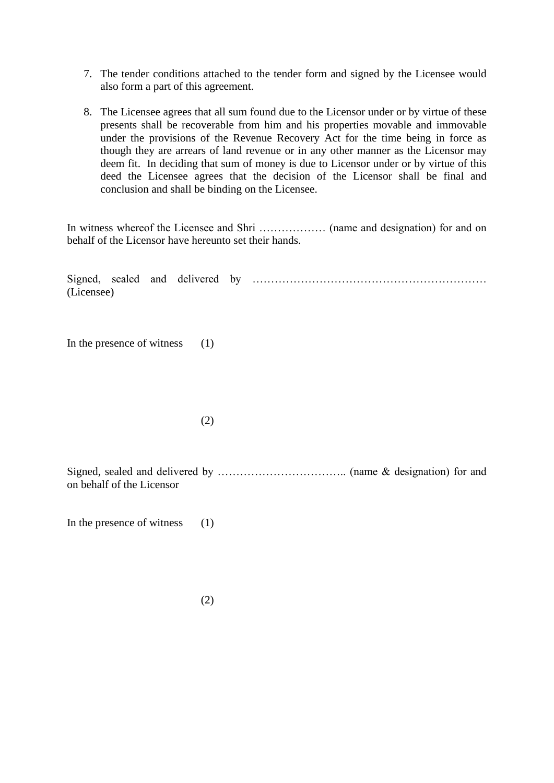- 7. The tender conditions attached to the tender form and signed by the Licensee would also form a part of this agreement.
- 8. The Licensee agrees that all sum found due to the Licensor under or by virtue of these presents shall be recoverable from him and his properties movable and immovable under the provisions of the Revenue Recovery Act for the time being in force as though they are arrears of land revenue or in any other manner as the Licensor may deem fit. In deciding that sum of money is due to Licensor under or by virtue of this deed the Licensee agrees that the decision of the Licensor shall be final and conclusion and shall be binding on the Licensee.

In witness whereof the Licensee and Shri ……………… (name and designation) for and on behalf of the Licensor have hereunto set their hands.

Signed, sealed and delivered by ……………………………………………………… (Licensee)

In the presence of witness (1)

(2)

Signed, sealed and delivered by …………………………….. (name & designation) for and on behalf of the Licensor

In the presence of witness  $(1)$ 

(2)